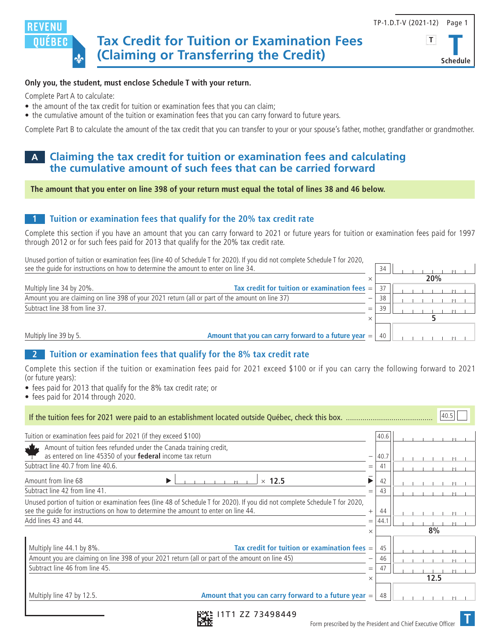

# **Schedule**

#### **Only you, the student, must enclose Schedule T with your return.**

Complete Part A to calculate:

- the amount of the tax credit for tuition or examination fees that you can claim;
- the cumulative amount of the tuition or examination fees that you can carry forward to future years.

Complete Part B to calculate the amount of the tax credit that you can transfer to your or your spouse's father, mother, grandfather or grandmother.

### **A Claiming the tax credit for tuition or examination fees and calculating the cumulative amount of such fees that can be carried forward**

**The amount that you enter on line 398 of your return must equal the total of lines 38 and 46 below.**

#### **1 Tuition or examination fees that qualify for the 20% tax credit rate**

Complete this section if you have an amount that you can carry forward to 2021 or future years for tuition or examination fees paid for 1997 through 2012 or for such fees paid for 2013 that qualify for the 20% tax credit rate.

Unused portion of tuition or examination fees (line 40 of Schedule T for 2020). If you did not complete Schedule T for 2020, see the quide for instructions on how to determine the amount to enter on line  $\frac{34}{4}$ .

|                                                                                                |                                                        |                          |     | 20% |
|------------------------------------------------------------------------------------------------|--------------------------------------------------------|--------------------------|-----|-----|
| Multiply line 34 by 20%.                                                                       | Tax credit for tuition or examination fees $=$         |                          | 37  |     |
| Amount you are claiming on line 398 of your 2021 return (all or part of the amount on line 37) |                                                        | $\overline{\phantom{0}}$ | 38  |     |
| Subtract line 38 from line 37.                                                                 |                                                        | $=$                      | -20 |     |
|                                                                                                |                                                        |                          |     |     |
| Multiply line 39 by 5.                                                                         | Amount that you can carry forward to a future year $=$ |                          | 40  |     |

#### **2 Tuition or examination fees that qualify for the 8% tax credit rate**

Complete this section if the tuition or examination fees paid for 2021 exceed \$100 or if you can carry the following forward to 2021 (or future years):

- fees paid for 2013 that qualify for the 8% tax credit rate; or
- fees paid for 2014 through 2020.

| 40.5                                                                                                                                                                                                               |                                                        |          |                |      |  |  |  |
|--------------------------------------------------------------------------------------------------------------------------------------------------------------------------------------------------------------------|--------------------------------------------------------|----------|----------------|------|--|--|--|
| Tuition or examination fees paid for 2021 (if they exceed \$100)                                                                                                                                                   |                                                        |          | 40.6           |      |  |  |  |
| Amount of tuition fees refunded under the Canada training credit,<br>as entered on line 45350 of your federal income tax return                                                                                    |                                                        | —        | 40.7           |      |  |  |  |
| Subtract line 40.7 from line 40.6.                                                                                                                                                                                 |                                                        |          |                |      |  |  |  |
| Amount from line 68<br>▶                                                                                                                                                                                           | $\times$ 12.5                                          |          | 42             |      |  |  |  |
| Subtract line 42 from line 41.                                                                                                                                                                                     |                                                        |          |                |      |  |  |  |
| Unused portion of tuition or examination fees (line 48 of Schedule T for 2020). If you did not complete Schedule T for 2020,<br>see the quide for instructions on how to determine the amount to enter on line 44. |                                                        |          | 44             |      |  |  |  |
| Add lines 43 and 44.                                                                                                                                                                                               |                                                        |          | 44.1           |      |  |  |  |
|                                                                                                                                                                                                                    |                                                        |          | 8%             |      |  |  |  |
| Tax credit for tuition or examination fees $=$<br>Multiply line 44.1 by 8%.<br>Amount you are claiming on line 398 of your 2021 return (all or part of the amount on line 45)<br>Subtract line 46 from line 45.    |                                                        |          | 45<br>46<br>47 |      |  |  |  |
|                                                                                                                                                                                                                    |                                                        | $\times$ |                | 12.5 |  |  |  |
| Multiply line 47 by 12.5.                                                                                                                                                                                          | Amount that you can carry forward to a future year $=$ |          | 48             |      |  |  |  |